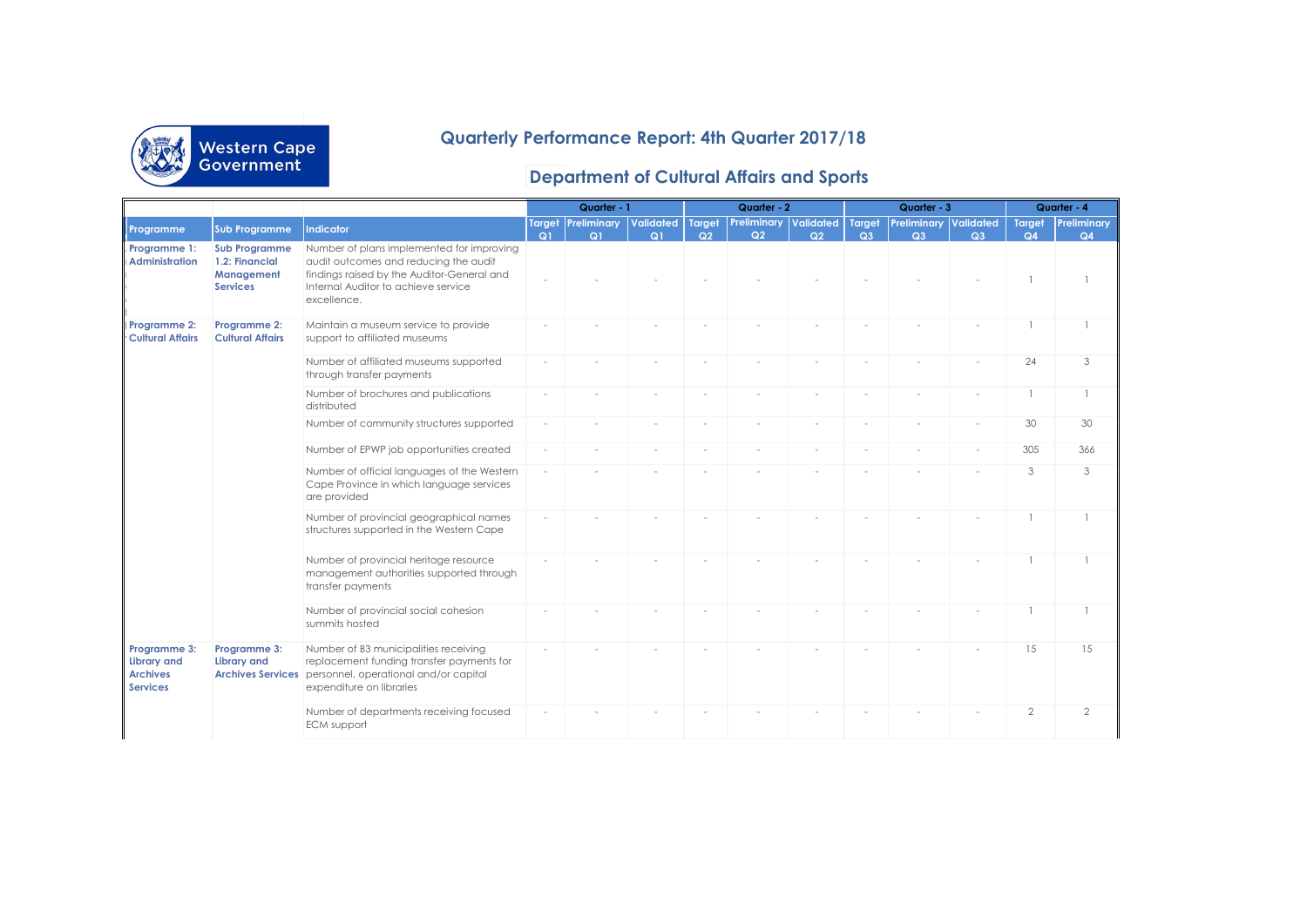

## **Quarterly Performance Report: 4th Quarter 2017/18**

## **Department of Cultural Affairs and Sports**

|                                                                          |                                                                         |                                                                                                                                                                                        |                          | Quarter - 1       |                             |                                 | Quarter - 2       |                             | Quarter - 3  |                   |                        | Quarter - 4     |                               |
|--------------------------------------------------------------------------|-------------------------------------------------------------------------|----------------------------------------------------------------------------------------------------------------------------------------------------------------------------------------|--------------------------|-------------------|-----------------------------|---------------------------------|-------------------|-----------------------------|--------------|-------------------|------------------------|-----------------|-------------------------------|
| Programme                                                                | <b>Sub Programme</b>                                                    | Indicator                                                                                                                                                                              | Target<br>Q <sub>1</sub> | Preliminary<br>Q1 | Validated<br>Q <sub>1</sub> | <b>Target</b><br>Q <sub>2</sub> | Preliminary<br>Q2 | Validated<br>Q <sub>2</sub> | Target<br>Q3 | Preliminary<br>Q3 | <b>Validated</b><br>Q3 | Target<br>$Q$ 4 | Preliminary<br>Q <sub>4</sub> |
| Programme 1:<br><b>Administration</b>                                    | <b>Sub Programme</b><br>1.2: Financial<br>Management<br><b>Services</b> | Number of plans implemented for improving<br>audit outcomes and reducing the audit<br>findings raised by the Auditor-General and<br>Internal Auditor to achieve service<br>excellence. |                          |                   |                             |                                 |                   |                             |              |                   |                        |                 |                               |
| Programme 2:<br><b>Cultural Affairs</b>                                  | Programme 2:<br><b>Cultural Affairs</b>                                 | Maintain a museum service to provide<br>support to affiliated museums                                                                                                                  |                          |                   |                             |                                 |                   |                             |              |                   |                        |                 |                               |
|                                                                          |                                                                         | Number of affiliated museums supported<br>through transfer payments                                                                                                                    |                          |                   |                             |                                 |                   |                             |              |                   |                        | 24              | 3                             |
|                                                                          |                                                                         | Number of brochures and publications<br>distributed                                                                                                                                    |                          |                   |                             |                                 |                   |                             |              |                   |                        |                 |                               |
|                                                                          |                                                                         | Number of community structures supported                                                                                                                                               |                          |                   |                             |                                 |                   |                             |              |                   |                        | 30              | 30                            |
|                                                                          |                                                                         | Number of EPWP job opportunities created                                                                                                                                               |                          |                   |                             |                                 |                   |                             |              |                   |                        | 305             | 366                           |
|                                                                          |                                                                         | Number of official languages of the Western<br>Cape Province in which language services<br>are provided                                                                                |                          |                   |                             |                                 |                   |                             |              |                   |                        | 3               | 3                             |
|                                                                          |                                                                         | Number of provincial geographical names<br>structures supported in the Western Cape                                                                                                    |                          |                   |                             |                                 |                   |                             |              |                   |                        |                 |                               |
|                                                                          |                                                                         | Number of provincial heritage resource<br>management authorities supported through<br>transfer payments                                                                                |                          |                   |                             |                                 |                   |                             |              |                   |                        |                 |                               |
|                                                                          |                                                                         | Number of provincial social cohesion<br>summits hosted                                                                                                                                 |                          |                   |                             |                                 |                   |                             |              |                   |                        |                 |                               |
| Programme 3:<br><b>Library and</b><br><b>Archives</b><br><b>Services</b> | Programme 3:<br><b>Library and</b><br><b>Archives Services</b>          | Number of B3 municipalities receiving<br>replacement funding transfer payments for<br>personnel, operational and/or capital<br>expenditure on libraries                                |                          |                   |                             |                                 |                   |                             |              |                   |                        | 15              | 15                            |
|                                                                          |                                                                         | Number of departments receiving focused<br><b>ECM</b> support                                                                                                                          |                          |                   |                             |                                 |                   |                             |              |                   |                        | 2               | $\overline{2}$                |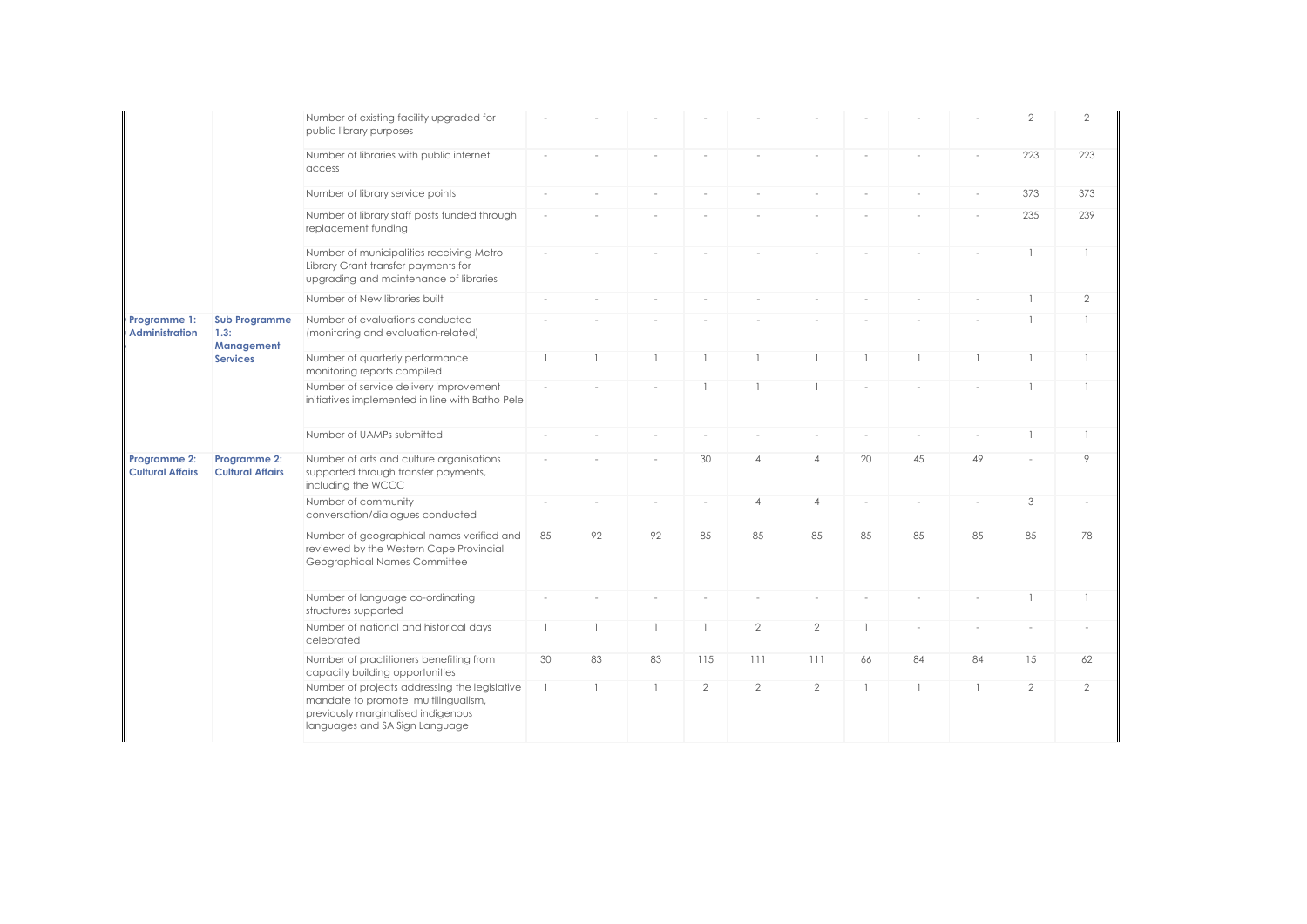|                                         |                                                               | Number of existing facility upgraded for<br>public library purposes                                                                                          |                |    |                |                |                |                |    |              |    | $\overline{2}$ | $\overline{2}$ |
|-----------------------------------------|---------------------------------------------------------------|--------------------------------------------------------------------------------------------------------------------------------------------------------------|----------------|----|----------------|----------------|----------------|----------------|----|--------------|----|----------------|----------------|
|                                         |                                                               | Number of libraries with public internet<br>access                                                                                                           |                |    |                |                |                |                |    |              |    | 223            | 223            |
|                                         |                                                               | Number of library service points                                                                                                                             |                |    |                |                |                |                |    |              |    | 373            | 373            |
|                                         |                                                               | Number of library staff posts funded through<br>replacement funding                                                                                          |                |    |                |                |                |                |    |              |    | 235            | 239            |
|                                         |                                                               | Number of municipalities receiving Metro<br>Library Grant transfer payments for<br>upgrading and maintenance of libraries                                    |                |    |                |                |                |                |    |              |    |                | 1              |
|                                         |                                                               | Number of New libraries built                                                                                                                                |                |    |                |                |                |                |    |              |    |                | $\mathbf{2}$   |
| Programme 1:<br><b>Administration</b>   | <b>Sub Programme</b><br>1.3:<br>Management<br><b>Services</b> | Number of evaluations conducted<br>(monitoring and evaluation-related)                                                                                       |                |    |                |                |                |                |    |              |    |                | 1              |
|                                         |                                                               | Number of quarterly performance<br>monitoring reports compiled                                                                                               | $\overline{1}$ |    | $\overline{1}$ | $\overline{1}$ | $\mathbf{1}$   |                |    | $\mathbf{1}$ | 1  | 1              | 1              |
|                                         |                                                               | Number of service delivery improvement<br>initiatives implemented in line with Batho Pele                                                                    |                |    |                | $\overline{1}$ | $\mathbf{1}$   |                |    |              |    |                | 1              |
|                                         |                                                               | Number of UAMPs submitted                                                                                                                                    |                |    |                |                |                |                |    |              |    |                | 1              |
| Programme 2:<br><b>Cultural Affairs</b> | Programme 2:<br><b>Cultural Affairs</b>                       | Number of arts and culture organisations<br>supported through transfer payments,<br>including the WCCC                                                       |                |    |                | 30             | $\overline{4}$ | $\overline{4}$ | 20 | 45           | 49 | ÷,             | 9              |
|                                         |                                                               | Number of community<br>conversation/dialogues conducted                                                                                                      |                |    |                |                | $\overline{4}$ | $\overline{4}$ |    |              |    | 3              | ÷,             |
|                                         |                                                               | Number of geographical names verified and<br>reviewed by the Western Cape Provincial<br>Geographical Names Committee                                         | 85             | 92 | 92             | 85             | 85             | 85             | 85 | 85           | 85 | 85             | 78             |
|                                         |                                                               | Number of language co-ordinating<br>structures supported                                                                                                     |                |    |                |                |                |                |    |              |    |                | 1              |
|                                         |                                                               | Number of national and historical days<br>celebrated                                                                                                         | $\overline{1}$ |    | $\overline{1}$ | $\mathbf{1}$   | $\overline{2}$ | $\overline{2}$ |    |              |    |                | ÷.             |
|                                         |                                                               | Number of practitioners benefiting from<br>capacity building opportunities                                                                                   | 30             | 83 | 83             | 115            | 111            | 111            | 66 | 84           | 84 | 15             | 62             |
|                                         |                                                               | Number of projects addressing the legislative<br>mandate to promote multilingualism,<br>previously marginalised indigenous<br>languages and SA Sign Language | $\overline{1}$ |    | $\overline{1}$ | $\overline{2}$ | $\overline{2}$ | $\overline{2}$ |    | $\mathbf{1}$ | 1  | $\overline{2}$ | $\overline{2}$ |